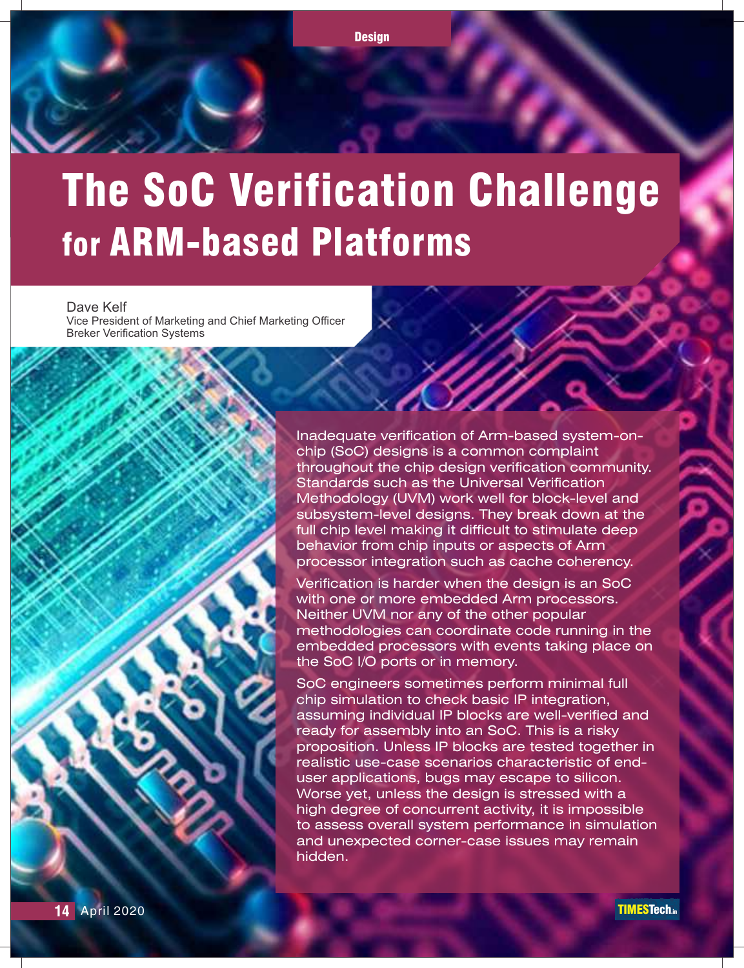

# The SoC Verification Challenge for ARM-based Platforms

Dave Kelf Vice President of Marketing and Chief Marketing Officer Breker Verification Systems

> Inadequate verification of Arm-based system-onchip (SoC) designs is a common complaint throughout the chip design verification community. Standards such as the Universal Verification Methodology (UVM) work well for block-level and subsystem-level designs. They break down at the full chip level making it difficult to stimulate deep behavior from chip inputs or aspects of Arm processor integration such as cache coherency.

> Verification is harder when the design is an SoC with one or more embedded Arm processors. Neither UVM nor any of the other popular methodologies can coordinate code running in the embedded processors with events taking place on the SoC I/O ports or in memory.

SoC engineers sometimes perform minimal full chip simulation to check basic IP integration, assuming individual IP blocks are well-verified and ready for assembly into an SoC. This is a risky proposition. Unless IP blocks are tested together in realistic use-case scenarios characteristic of enduser applications, bugs may escape to silicon. Worse yet, unless the design is stressed with a high degree of concurrent activity, it is impossible to assess overall system performance in simulation and unexpected corner-case issues may remain hidden.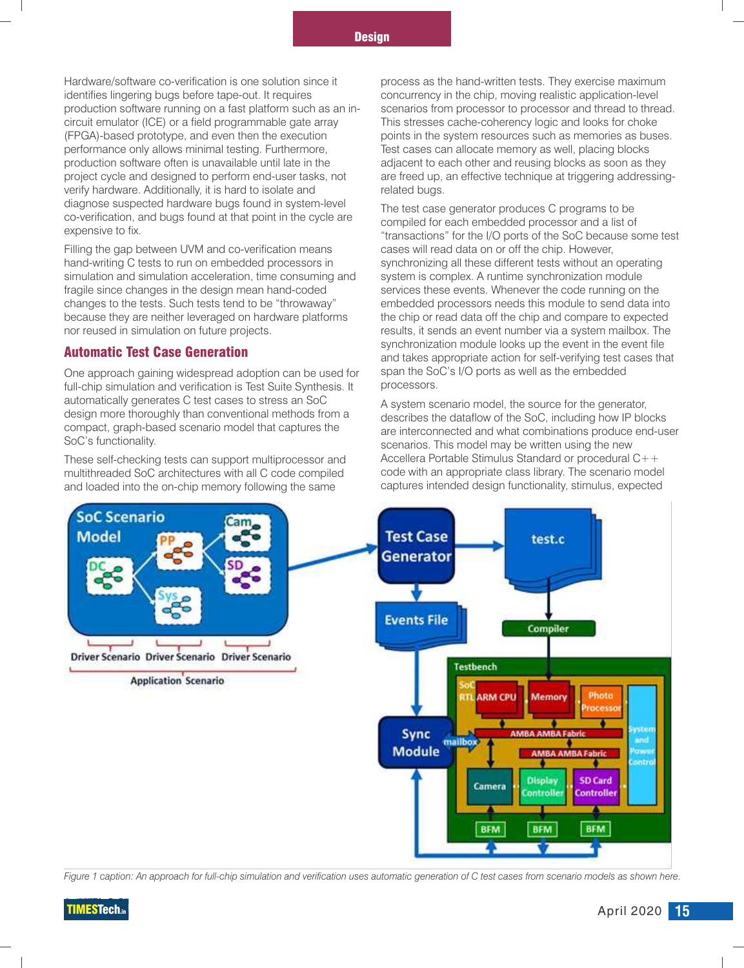Hardware/software co-verification is one solution since it process as the hand-written tests. They exercise maximum<br>identifies lingering bugs before tape-out. It requires concurrency in the chip, moving realistic applicati production software running on a fast platform such as an incircuit emulator (ICE) or a field programmable gate array This stresses cache-coherency logic and looks for choke<br>(FPGA)-based prototype, and even then the execution points in the system resources such as memories as buse (FPGA)-based prototype, and even then the execution points in the system resources such as memories as buses.<br>
performance only allows minimal testing. Furthermore. Test cases can allocate memory as well, placing blocks production software often is unavailable until late in the adjacent to each other and reusing blocks as soon as they<br>project cycle and designed to perform end-user tasks, not are freed up, an effective technique at trigger verify hardware. Additionally, it is hard to isolate and related bugs.<br>
diagnose suspected hardware bugs found in system-level The test case

Filling the gap between UVM and co-verification means hand-writing C tests to run on embedded processors in synchronizing all these different tests without an operating simulation and simulation acceleration, time consuming and system is complex. A runtime synchronization module<br>
services these events. Whenever the code running on the<br>
fragile since changes in the design mean hand-coded s fragile since changes in the design mean hand-coded changes to the tests. Such tests tend to be "throwaway" embedded processors needs this module to send data into because they are neither leveraged on hardware platforms the chip or read data off the chip and compare to expected

#### Automatic Test Case Generation

One approach gaining widespread adoption can be used for span the So<br>
full-chip simulation and verification is Test Suite Synthesis. It processors. full-chip simulation and verification is Test Suite Synthesis. It automatically generates C test cases to stress an SoC A system scenario model, the source for the generator,<br>design more thoroughly than conventional methods from a describes the dataflow of the SoC including bow IP blo design more thoroughly than conventional methods from a describes the dataflow of the SoC, including how IP blocks<br>compact, graph-based scenario model that captures the are interconnected and what combinations produce and

multithreaded SoC architectures with all C code compiled code with an appropriate class library. The scenario model<br>and loaded into the on-chip memory following the same captures intended design functionality, stimulus, ex and loaded into the on-chip memory following the same

concurrency in the chip, moving realistic application-level<br>scenarios from processor to processor and thread to thread. Test cases can allocate memory as well, placing blocks are freed up, an effective technique at triggering addressing-

diagnose suspected nardware bugs found in system-level<br>co-verification, and bugs found at that point in the cycle are<br>expensive to fix.<br>Filling the gap between UVM and co-verification means<br>Filling the gap between UVM and nor reused in simulation on future projects. results, it sends an event number via a system mailbox. The synchronization module looks up the event in the event file and takes appropriate action for self-verifying test cases that span the SoC's I/O ports as well as the embedded

compact, graph-based scenario model that captures the are interconnected and what combinations produce end-user<br>SoC's functionality. scenarios. This model may be written using the new<br>Accellera Portable Stimulus Standard or procedural  $C_{+}$ These self-checking tests can support multiprocessor and Accellera Portable Stimulus Standard or procedural C++<br>multithreaded SoC architectures with all C code compiled code with an appropriate class library. The scenario



*Figure 1 caption: An approach for full-chip simulation and verification uses automatic generation of C test cases from scenario models as shown here.*